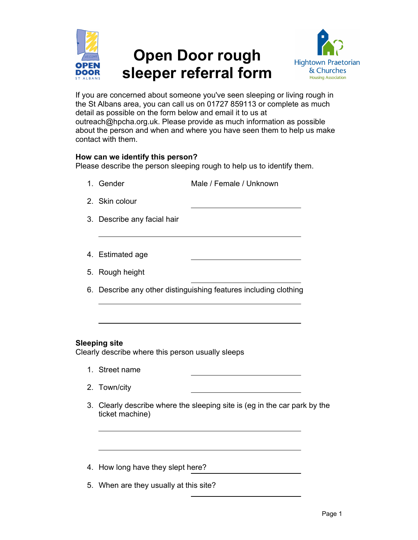

# Open Door rough sleeper referral form



If you are concerned about someone you've seen sleeping or living rough in the St Albans area, you can call us on 01727 859113 or complete as much detail as possible on the form below and email it to us at outreach@hpcha.org.uk. Please provide as much information as possible about the person and when and where you have seen them to help us make contact with them.

#### How can we identify this person?

Please describe the person sleeping rough to help us to identify them.

- 1. Gender Male / Female / Unknown
- 2. Skin colour
- 3. Describe any facial hair
- 4. Estimated age
- 5. Rough height
- 6. Describe any other distinguishing features including clothing

### Sleeping site

Clearly describe where this person usually sleeps

- 1. Street name
- 2. Town/city
- 3. Clearly describe where the sleeping site is (eg in the car park by the ticket machine)
- 4. How long have they slept here?
- 5. When are they usually at this site?